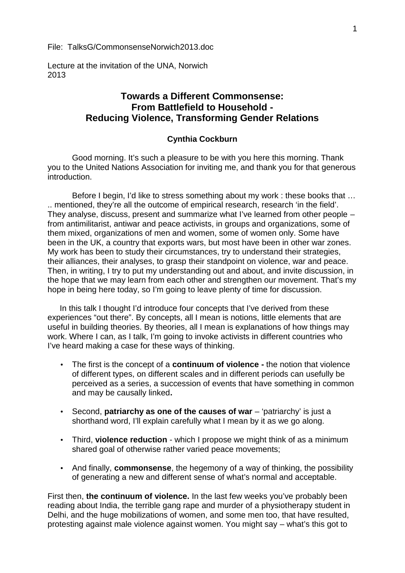File: TalksG/CommonsenseNorwich2013.doc

Lecture at the invitation of the UNA, Norwich 2013

## **Towards a Different Commonsense: From Battlefield to Household - Reducing Violence, Transforming Gender Relations**

## **Cynthia Cockburn**

Good morning. It's such a pleasure to be with you here this morning. Thank you to the United Nations Association for inviting me, and thank you for that generous introduction.

Before I begin, I'd like to stress something about my work : these books that … .. mentioned, they're all the outcome of empirical research, research 'in the field'. They analyse, discuss, present and summarize what I've learned from other people – from antimilitarist, antiwar and peace activists, in groups and organizations, some of them mixed, organizations of men and women, some of women only. Some have been in the UK, a country that exports wars, but most have been in other war zones. My work has been to study their circumstances, try to understand their strategies, their alliances, their analyses, to grasp their standpoint on violence, war and peace. Then, in writing, I try to put my understanding out and about, and invite discussion, in the hope that we may learn from each other and strengthen our movement. That's my hope in being here today, so I'm going to leave plenty of time for discussion.

In this talk I thought I'd introduce four concepts that I've derived from these experiences "out there". By concepts, all I mean is notions, little elements that are useful in building theories. By theories, all I mean is explanations of how things may work. Where I can, as I talk, I'm going to invoke activists in different countries who I've heard making a case for these ways of thinking.

- The first is the concept of a **continuum of violence -** the notion that violence of different types, on different scales and in different periods can usefully be perceived as a series, a succession of events that have something in common and may be causally linked**.**
- Second, **patriarchy as one of the causes of war** 'patriarchy' is just a shorthand word, I'll explain carefully what I mean by it as we go along.
- Third, **violence reduction** which I propose we might think of as a minimum shared goal of otherwise rather varied peace movements;
- And finally, **commonsense**, the hegemony of a way of thinking, the possibility of generating a new and different sense of what's normal and acceptable.

First then, **the continuum of violence.** In the last few weeks you've probably been reading about India, the terrible gang rape and murder of a physiotherapy student in Delhi, and the huge mobilizations of women, and some men too, that have resulted, protesting against male violence against women. You might say – what's this got to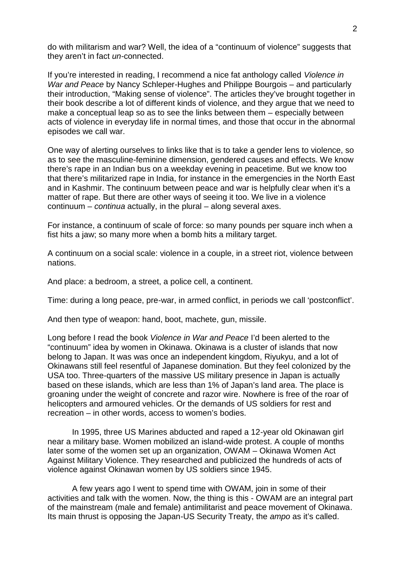do with militarism and war? Well, the idea of a "continuum of violence" suggests that they aren't in fact *un-*connected.

If you're interested in reading, I recommend a nice fat anthology called *Violence in War and Peace* by Nancy Schleper-Hughes and Philippe Bourgois – and particularly their introduction, "Making sense of violence". The articles they've brought together in their book describe a lot of different kinds of violence, and they argue that we need to make a conceptual leap so as to see the links between them – especially between acts of violence in everyday life in normal times, and those that occur in the abnormal episodes we call war.

One way of alerting ourselves to links like that is to take a gender lens to violence, so as to see the masculine-feminine dimension, gendered causes and effects. We know there's rape in an Indian bus on a weekday evening in peacetime. But we know too that there's militarized rape in India, for instance in the emergencies in the North East and in Kashmir. The continuum between peace and war is helpfully clear when it's a matter of rape. But there are other ways of seeing it too. We live in a violence continuum – *continua* actually, in the plural – along several axes.

For instance, a continuum of scale of force: so many pounds per square inch when a fist hits a jaw; so many more when a bomb hits a military target.

A continuum on a social scale: violence in a couple, in a street riot, violence between nations.

And place: a bedroom, a street, a police cell, a continent.

Time: during a long peace, pre-war, in armed conflict, in periods we call 'postconflict'.

And then type of weapon: hand, boot, machete, gun, missile.

Long before I read the book *Violence in War and Peace* I'd been alerted to the "continuum" idea by women in Okinawa. Okinawa is a cluster of islands that now belong to Japan. It was was once an independent kingdom, Riyukyu, and a lot of Okinawans still feel resentful of Japanese domination. But they feel colonized by the USA too. Three-quarters of the massive US military presence in Japan is actually based on these islands, which are less than 1% of Japan's land area. The place is groaning under the weight of concrete and razor wire. Nowhere is free of the roar of helicopters and armoured vehicles. Or the demands of US soldiers for rest and recreation – in other words, access to women's bodies.

In 1995, three US Marines abducted and raped a 12-year old Okinawan girl near a military base. Women mobilized an island-wide protest. A couple of months later some of the women set up an organization, OWAM – Okinawa Women Act Against Military Violence. They researched and publicized the hundreds of acts of violence against Okinawan women by US soldiers since 1945.

A few years ago I went to spend time with OWAM, join in some of their activities and talk with the women. Now, the thing is this - OWAM are an integral part of the mainstream (male and female) antimilitarist and peace movement of Okinawa. Its main thrust is opposing the Japan-US Security Treaty, the *ampo* as it's called.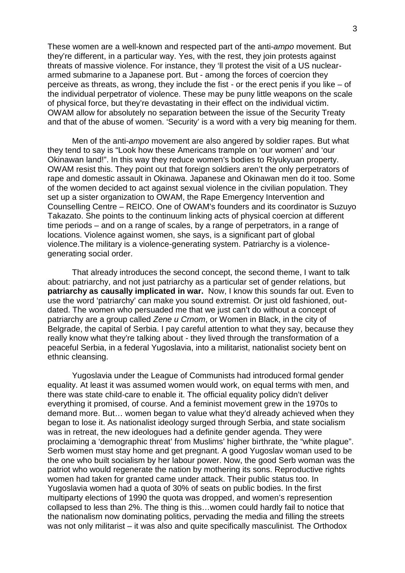These women are a well-known and respected part of the anti-*ampo* movement. But they're different, in a particular way. Yes, with the rest, they join protests against threats of massive violence. For instance, they 'll protest the visit of a US nuclear armed submarine to a Japanese port. But - among the forces of coercion they perceive as threats, as wrong, they include the fist - or the erect penis if you like – of the individual perpetrator of violence. These may be puny little weapons on the scale of physical force, but they're devastating in their effect on the individual victim. OWAM allow for absolutely no separation between the issue of the Security Treaty and that of the abuse of women. 'Security' is a word with a very big meaning for them.

Men of the anti-*ampo* movement are also angered by soldier rapes. But what they tend to say is "Look how these Americans trample on 'our women' and 'our Okinawan land!". In this way they reduce women's bodies to Riyukyuan property. OWAM resist this. They point out that foreign soldiers aren't the only perpetrators of rape and domestic assault in Okinawa. Japanese and Okinawan men do it too. Some of the women decided to act against sexual violence in the civilian population. They set up a sister organization to OWAM, the Rape Emergency Intervention and Counselling Centre – REICO. One of OWAM's founders and its coordinator is Suzuyo Takazato. She points to the continuum linking acts of physical coercion at different time periods – and on a range of scales, by a range of perpetrators, in a range of locations. Violence against women, she says, is a significant part of global violence.The military is a violence-generating system. Patriarchy is a violence generating social order.

That already introduces the second concept, the second theme, I want to talk about: patriarchy, and not just patriarchy as a particular set of gender relations, but **patriarchy as causally implicated in war.** Now, I know this sounds far out. Even to use the word 'patriarchy' can make you sound extremist. Or just old fashioned, out dated. The women who persuaded me that we just can't do without a concept of patriarchy are a group called *Zene u Crnom*, or Women in Black, in the city of Belgrade, the capital of Serbia. I pay careful attention to what they say, because they really know what they're talking about - they lived through the transformation of a peaceful Serbia, in a federal Yugoslavia, into a militarist, nationalist society bent on ethnic cleansing.

Yugoslavia under the League of Communists had introduced formal gender equality. At least it was assumed women would work, on equal terms with men, and there was state child-care to enable it. The official equality policy didn't deliver everything it promised, of course. And a feminist movement grew in the 1970s to demand more. But… women began to value what they'd already achieved when they began to lose it. As nationalist ideology surged through Serbia, and state socialism was in retreat, the new ideologues had a definite gender agenda. They were proclaiming a 'demographic threat' from Muslims' higher birthrate, the "white plague". Serb women must stay home and get pregnant. A good Yugoslav woman used to be the one who built socialism by her labour power. Now, the good Serb woman was the patriot who would regenerate the nation by mothering its sons. Reproductive rights women had taken for granted came under attack. Their public status too. In Yugoslavia women had a quota of 30% of seats on public bodies. In the first multiparty elections of 1990 the quota was dropped, and women's represention collapsed to less than 2%. The thing is this…women could hardly fail to notice that the nationalism now dominating politics, pervading the media and filling the streets was not only militarist – it was also and quite specifically masculinist*.* The Orthodox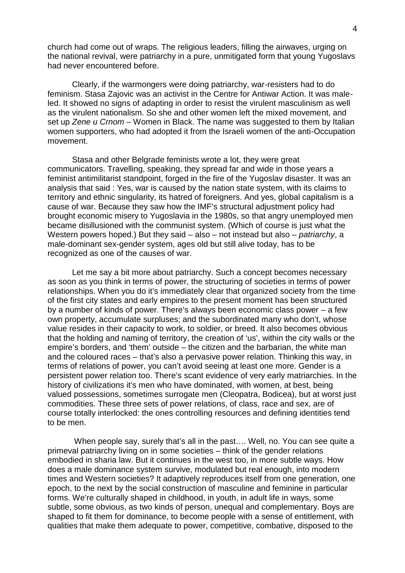church had come out of wraps. The religious leaders, filling the airwaves, urging on the national revival, were patriarchy in a pure, unmitigated form that young Yugoslavs had never encountered before.

Clearly, if the warmongers were doing patriarchy, war-resisters had to do feminism. Stasa Zajovic was an activist in the Centre for Antiwar Action. It was maleled. It showed no signs of adapting in order to resist the virulent masculinism as well as the virulent nationalism. So she and other women left the mixed movement, and set up *Zene u Crnom* – Women in Black. The name was suggested to them by Italian women supporters, who had adopted it from the Israeli women of the anti-Occupation movement.

Stasa and other Belgrade feminists wrote a lot, they were great communicators. Travelling, speaking, they spread far and wide in those years a feminist antimilitarist standpoint, forged in the fire of the Yugoslav disaster. It was an analysis that said : Yes, war is caused by the nation state system, with its claims to territory and ethnic singularity, its hatred of foreigners. And yes, global capitalism is a cause of war. Because they saw how the IMF's structural adjustment policy had brought economic misery to Yugoslavia in the 1980s, so that angry unemployed men became disillusioned with the communist system. (Which of course is just what the Western powers hoped.) But they said – also – not instead but also – *patriarchy*, a male-dominant sex-gender system, ages old but still alive today, has to be recognized as one of the causes of war.

Let me say a bit more about patriarchy. Such a concept becomes necessary as soon as you think in terms of power, the structuring of societies in terms of power relationships. When you do it's immediately clear that organized society from the time of the first city states and early empires to the present moment has been structured by a number of kinds of power. There's always been economic class power – a few own property, accumulate surpluses; and the subordinated many who don't, whose value resides in their capacity to work, to soldier, or breed. It also becomes obvious that the holding and naming of territory, the creation of 'us', within the city walls or the empire's borders, and 'them' outside – the citizen and the barbarian, the white man and the coloured races – that's also a pervasive power relation. Thinking this way, in terms of relations of power, you can't avoid seeing at least one more. Gender is a persistent power relation too. There's scant evidence of very early matriarchies. In the history of civilizations it's men who have dominated, with women, at best, being valued possessions, sometimes surrogate men (Cleopatra, Bodicea), but at worst just commodities. These three sets of power relations, of class, race and sex, are of course totally interlocked: the ones controlling resources and defining identities tend to be men.

When people say, surely that's all in the past.... Well, no. You can see quite a primeval patriarchy living on in some societies – think of the gender relations embodied in sharia law. But it continues in the west too, in more subtle ways. How does a male dominance system survive, modulated but real enough, into modern times and Western societies? It adaptively reproduces itself from one generation, one epoch, to the next by the social construction of masculine and feminine in particular forms. We're culturally shaped in childhood, in youth, in adult life in ways, some subtle, some obvious, as two kinds of person, unequal and complementary. Boys are shaped to fit them for dominance, to become people with a sense of entitlement, with qualities that make them adequate to power, competitive, combative, disposed to the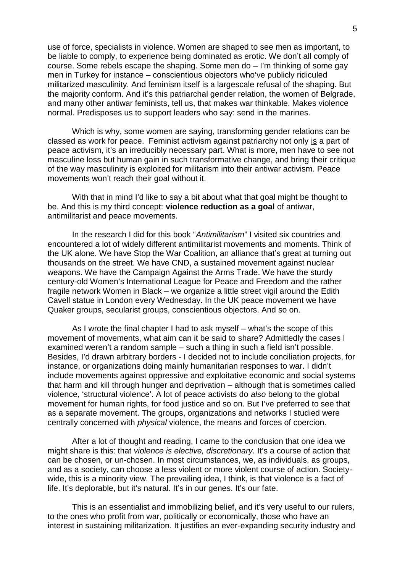use of force, specialists in violence. Women are shaped to see men as important, to be liable to comply, to experience being dominated as erotic. We don't all comply of course. Some rebels escape the shaping. Some men do – I'm thinking of some gay men in Turkey for instance – conscientious objectors who've publicly ridiculed militarized masculinity. And feminism itself is a largescale refusal of the shaping. But the majority conform. And it's this patriarchal gender relation, the women of Belgrade, and many other antiwar feminists, tell us, that makes war thinkable. Makes violence normal. Predisposes us to support leaders who say: send in the marines.

Which is why, some women are saying, transforming gender relations can be classed as work for peace. Feminist activism against patriarchy not only is a part of peace activism, it's an irreducibly necessary part. What is more, men have to see not masculine loss but human gain in such transformative change, and bring their critique of the way masculinity is exploited for militarism into their antiwar activism. Peace movements won't reach their goal without it.

With that in mind I'd like to say a bit about what that goal might be thought to be. And this is my third concept: **violence reduction as a goal** of antiwar, antimilitarist and peace movements.

In the research I did for this book "*Antimilitarism*" I visited six countries and encountered a lot of widely different antimilitarist movements and moments. Think of the UK alone. We have Stop the War Coalition, an alliance that's great at turning out thousands on the street. We have CND, a sustained movement against nuclear weapons. We have the Campaign Against the Arms Trade. We have the sturdy century-old Women's International League for Peace and Freedom and the rather fragile network Women in Black – we organize a little street vigil around the Edith Cavell statue in London every Wednesday. In the UK peace movement we have Quaker groups, secularist groups, conscientious objectors. And so on.

As I wrote the final chapter I had to ask myself – what's the scope of this movement of movements, what aim can it be said to share? Admittedly the cases I examined weren't a random sample – such a thing in such a field isn't possible. Besides, I'd drawn arbitrary borders - I decided not to include conciliation projects, for instance, or organizations doing mainly humanitarian responses to war. I didn't include movements against oppressive and exploitative economic and social systems that harm and kill through hunger and deprivation – although that is sometimes called violence, 'structural violence'. A lot of peace activists do *also* belong to the global movement for human rights, for food justice and so on. But I've preferred to see that as a separate movement. The groups, organizations and networks I studied were centrally concerned with *physical* violence, the means and forces of coercion.

After a lot of thought and reading, I came to the conclusion that one idea we might share is this: that *violence is elective, discretionary.* It's a course of action that can be chosen, or un-chosen. In most circumstances, we, as individuals, as groups, and as a society, can choose a less violent or more violent course of action. Society wide, this is a minority view. The prevailing idea, I think, is that violence is a fact of life. It's deplorable, but it's natural. It's in our genes. It's our fate.

This is an essentialist and immobilizing belief, and it's very useful to our rulers, to the ones who profit from war, politically or economically, those who have an interest in sustaining militarization. It justifies an ever-expanding security industry and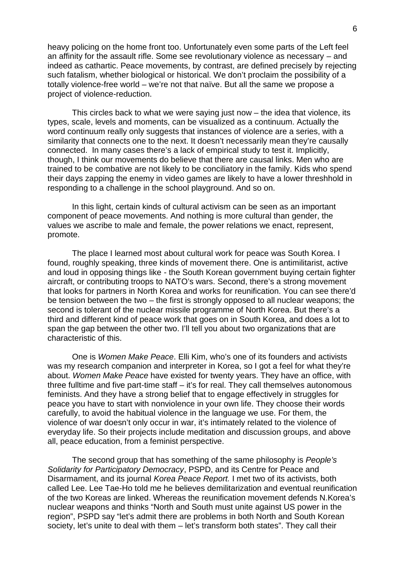heavy policing on the home front too. Unfortunately even some parts of the Left feel an affinity for the assault rifle. Some see revolutionary violence as necessary – and indeed as cathartic. Peace movements, by contrast, are defined precisely by rejecting such fatalism, whether biological or historical. We don't proclaim the possibility of a totally violence-free world – we're not that naïve. But all the same we propose a project of violence-reduction.

This circles back to what we were saying just now – the idea that violence, its types, scale, levels and moments, can be visualized as a continuum. Actually the word continuum really only suggests that instances of violence are a series, with a similarity that connects one to the next. It doesn't necessarily mean they're causally connected. In many cases there's a lack of empirical study to test it. Implicitly, though, I think our movements do believe that there are causal links. Men who are trained to be combative are not likely to be conciliatory in the family. Kids who spend their days zapping the enemy in video games are likely to have a lower threshhold in responding to a challenge in the school playground. And so on.

In this light, certain kinds of cultural activism can be seen as an important component of peace movements. And nothing is more cultural than gender, the values we ascribe to male and female, the power relations we enact, represent, promote.

The place I learned most about cultural work for peace was South Korea. I found, roughly speaking, three kinds of movement there. One is antimilitarist, active and loud in opposing things like - the South Korean government buying certain fighter aircraft, or contributing troops to NATO's wars. Second, there's a strong movement that looks for partners in North Korea and works for reunification. You can see there'd be tension between the two – the first is strongly opposed to all nuclear weapons; the second is tolerant of the nuclear missile programme of North Korea. But there's a third and different kind of peace work that goes on in South Korea, and does a lot to span the gap between the other two. I'll tell you about two organizations that are characteristic of this.

One is *Women Make Peace*. Elli Kim, who's one of its founders and activists was my research companion and interpreter in Korea, so I got a feel for what they're about. *Women Make Peace* have existed for twenty years. They have an office, with three fulltime and five part-time staff – it's for real. They call themselves autonomous feminists. And they have a strong belief that to engage effectively in struggles for peace you have to start with nonviolence in your own life. They choose their words carefully, to avoid the habitual violence in the language we use. For them, the violence of war doesn't only occur in war, it's intimately related to the violence of everyday life. So their projects include meditation and discussion groups, and above all, peace education, from a feminist perspective.

The second group that has something of the same philosophy is *People's Solidarity for Participatory Democracy*, PSPD, and its Centre for Peace and Disarmament, and its journal *Korea Peace Report.* I met two of its activists, both called Lee. Lee Tae-Ho told me he believes demilitarization and eventual reunification of the two Koreas are linked. Whereas the reunification movement defends N.Korea's nuclear weapons and thinks "North and South must unite against US power in the region", PSPD say "let's admit there are problems in both North and South Korean society, let's unite to deal with them – let's transform both states". They call their